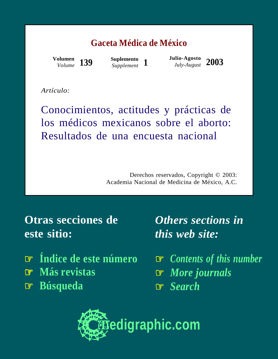### **Gaceta Médica de México**

*Volume* **139**

**Suplemento**

*Supplement* **<sup>1</sup> Julio-Agosto** *July-August* **2003 Volumen**

*Artículo:*

Conocimientos, actitudes y prácticas de los médicos mexicanos sobre el aborto: Resultados de una encuesta nacional

> Derechos reservados, Copyright © 2003: Academia Nacional de Medicina de México, A.C.

**Otras secciones de este sitio:**

- ☞ **[Índice de este número](http://www.medigraphic.com/espanol/e-htms/e-gaceta/e-gm2003/e-gms03-1/e1-gms031.htm)**
- ☞ **[Más revistas](http://www.medigraphic.com/espanol/e1-indic.htm)**
- ☞ **[Búsqueda](http://www.medigraphic.com/espanol/e-buscar/e1-busca.htm)**

*Others sections in this web site:*

☞ *[Contents of this number](http://www.medigraphic.com/ingles/i-htms/i-gaceta/i-gm2003/i-gms03-1/i1-gms031.htm)* ☞ *[More journals](http://www.medigraphic.com/ingles/i1-indic.htm)* ☞ *[Search](http://www.medigraphic.com/ingles/i-buscar/i1-busca.htm)*

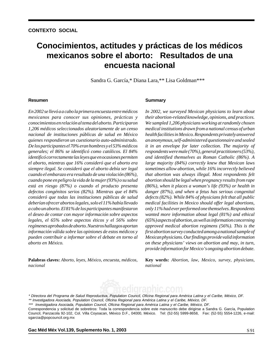## mexicanos sobre el aborto: Resultados de una medigraphic medigraphic medigraphic medigraphic medigraphic medigraphic medigraphic medigraphic medigraphic medigraphic medigraphic medigraphic medigraphic medigraphic medigraphic medigraphic **encuesta nacional** medigraphic medigraphic medigraphic medigraphic **Conocimientos, actitudes y prácticas de los médicos**

Sandra G. García,\* Diana Lara,\*\* Lisa Goldman\*\*\*

#### medigraphic medigraphic medigraphic medigraphic medigraphic medigraphic medigraphic medigraphic medigraphic medigraphic medigraphic medigraphic medigraphic medigraphic medigraphic medigraphic medigraphic medigraphic medigr **Resumen**

 $En$  2002 se llevó a a cabo la primera encuesta entre médicos mexicanos para conocer sus opiniones, prácticas y medigraphic medigraphic medigraphic medigraphic *conocimientos en relación al tema del aborto. Participaron* medigraphic medigraphic medigraphic medigraphic *1,206 médicos seleccionados aleatoriamente de un censo* medigraphic medigraphic medigraphic medigraphic *nacional de instituciones públicas de salud en México* medigraphic medigraphic medigraphic medigraphic *quienes respondieron un cuestionario auto-administrado.* period parameter medicine medicine medigraphic media media media media media media media media media media med identificó correctamente las leyes que en ocasiones permiten medigraphic medigraphic medigraphic medigraphic medigraphic medigraphic medigraphic medigraphic *el aborto, mientras que 16% consideró que el aborto era* siempre ilegal. Se consideró que el aborto debía ser legal cuando el embarazo era resultado de una violación (86%), medigraphic medigraphic medigraphic medigraphic medigraphic medigraphic medigraphic medigraphic *cuando pone en peligro la vida de la mujer (93%) o su salud* está en riesgo (87%) o cuando el producto presenta medigraphic medigraphic medigraphic medigraphic medigraphic medigraphic medigraphic medigraphic *consideró que todas las instituciones públicas de salud* .<br>De los participantes el 70% eran hombres y el 53% médicos generales; el 86% se identificó como católicos. El 84% defectos congénitos serios (82%). Mientras que el 84% medigraphic medigraphic medigraphic medigraphic *deberían ofrecer abortos legales, solo el 11% había llevado* medigraphic medigraphic medigraphic medigraphic *a cabo un aborto. El 81% de los participantes manifestaron* medigraphic medigraphic medigraphic medigraphic *el deseo de contar con mayor información sobre aspectos* legales, el 65% sobre aspectos éticos y el 56% sobre medigraphic medigraphic medigraphic medigraphic *regímenes aprobados de aborto. Nuestros hallazgos aportan* medigraphic medigraphic medigraphic medigraphic *pueden contribuir a informar sobre el debate en torno al* medigraphic medigraphic medigraphic medigraphic *aborto en México. información válida sobre las opiniones de estos médicos y*

Palabras claves: Aborto, leyes, México, encuesta, médicos, medigraphic medigraphic medigraphic medigraphic *nacional*

#### medigraphic medigraphic medigraphic medigraphic medigraphic medigraphic medigraphic medigraphic medigraphic medigraphic medigraphic medigraphic medigraphic medigraphic medigraphic medigraphic medigraphic medigraphic medig **Summary**

In 2002, we surveyed Mexican physicians to learn about their abortion-related knowledge, opinions, and practices. We sampled 1,206 physicians working at randomly chosen medigraphic medigraphic medigraphic medigraphic *medical institutions drawn from a national census of urban* medigraphic medigraphic medigraphic medigraphic *health facilities in Mexico. Respondents privately answered* medigraphic medigraphic medigraphic medigraphic *an anonymous, self-administered questionnaire and sealed*  $m$  envelope for the concentral  $m$  majoring and identified themselves as Roman Catholic (86%). A *large majority (84%) correctly knew that Mexican laws* medigraphic medigraphic medigraphic medigraphic medigraphic medigraphic medigraphic medigraphic *sometimes allow abortion, while 16% incorrectly believed* that abortion was always illegal. Most respondents felt abortion should be legal when pregnancy results from rape *(86%), when it places a woman's life (93%) or health in* medigraphic medigraphic medigraphic medigraphic medigraphic medigraphic medigraphic medigraphic *defects (82%). While 84% of physicians felt that all public it in an envelope for later collection. The majority of respondents were male (70%), general practitioners (53%),* medigraphic medigraphic medigraphic medigraphic *danger (87%), and when a fetus has serious congenital* medical facilities in Mexico should offer legal abortions, only 11% had ever performed one themselves. Respondents wanted more information about legal (81%) and ethical (65%) aspects of abortion, as well as information concerning approved medical abortion regimens (56%). This is the medigraphic medigraphic medigraphic medigraphic *Mexican physicians. Our findings provide valid information* on these physicians' views on abortion and may, in turn, provide information for Mexico's ongoing abortion debate. *first abortion survey conducted among a national sample of*

Key words: Abortion, law, Mexico, survey, physicians, medigraphic medigraphic medigraphic medigraphic *national*



<sup>\*\*</sup> Investigadora Asociada, Population Council, Oficina Regional para América Latina y el Caribe, México, DF. \* Directora del Programa de Salud Reproductiva, Population Council, Oficina Regional para América Latina y el Caribe, México, DF.

### **Gac Méd Méx Vol.139, Suplemento No. 1, 2003** Material Mexico Service Service Service Service Service Service Se

<sup>\*\*\*</sup> Investigadora Asociada, Population Council, Oficina Regional para América Latina y el Caribe, México, DF.

Council, Panzacola 92-102, Col. Villa Coyoacan, México D.F., 04000, México. Tel: (52-55) 5999-8658, Fax: (52-55) 5554-1226, e-mail: sgarcia@popcouncil.org.mx Correspondencia y solicitud de sobretiros: Toda la correspondencia sobre este manuscrito debe dirigirse a Sandra G. García, Population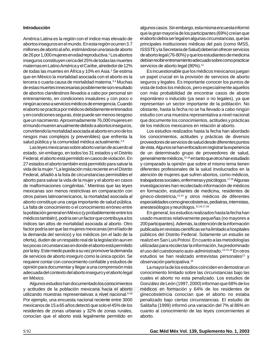## medigraphic medigraphic medigraphic medigraphic **Introducción**

América Latina es la región con el índice mas elevado de abortos inseguros en el mundo. En esta región ocurren 3.7 millones de aborto al año, estimándose una tasa de aborto de 26 por 1,000 mujeres en edad reproductiva.<sup>1</sup> Los abortos maternas en Latino América y el Caribe, alrededor de 12% de todas las muertes en África y 10% en Asia.<sup>2</sup> Se estima que en México la mortalidad asociada con el aborto es la tercera o cuarta causa de mortalidad materna.<sup>3,4</sup> Muchas de estas muertes innecesarias posiblemente son resultado de abortos clandestinos llevados a cabo por personal sin ningún acceso a servicios médicos de emergencia. Cuando el aborto se practica por médicos debidamente entrenados ,<br>que un nacimiento. Aproximadamente 76,000 mujeres en el mundo mueren anualmente debido a abortos inseguros, convirtiendo la mortalidad asociada al aborto en uno de los riesgos mas complejos (y prevenibles) que enfrenta la salud pública y la comunidad médica actualmente.<sup>2,5</sup> inseguros constituyen cerca del 25% de todas las muertes entrenamiento, en condiciones insalubres y con poco o y en condiciones seguras, éste puede ser menos riesgoso

Las leyes mexicanas sobre aborto varían de acuerdo al Federal, el aborto está permitido en casos de violación. En 27 estados el aborto también está permitido para salvar la vida de la mujer.<sup>6</sup> La legislación más reciente en el Distrito Federal, añadió a la lista de circunstancias permisibles el aborto para salvar la vida de la mujer y el aborto en casos de malformaciones congénitas.<sup>7</sup> Mientras que las leyes otros países latinoamericanos, la mortalidad asociada al estado, sin embargo, en todos los 31 estados y el Distrito mexicanas son menos restrictivas en comparación con aborto constituye una carga importante de salud pública. La falta de conocimiento o el conocimiento erróneo entre la población general en México (y probablemente entre los médicos también), podría ser un factor que contribuya a los factor podría ser que las mujeres mexicanas (en el lado de la demanda del servicio) y los médicos (en el lado de la oferta), duden de un respaldo real de la legislación aun en por la ley. Este miedo puede a su vez promover la demanda .<br>de servicios de aborto inseguro como la única opción. Se requiere contar con conocimiento confiable y estudios de opinión para documentar y llegar a una comprensión más adecuada del contexto del aborto inseguro y el aborto legal índices tan altos de mortalidad asociada al aborto. Otro las pocas circunstancias en donde el aborto está permitido en México.

Algunos estudios han documentado los conocimientos y actitudes de la población mexicana hacia el aborto utilizando muestras representativas a nivel nacional.<sup>8-10</sup> Por ejemplo, una encuesta nacional reciente entre 3000 mexicanos de 15 a 65 años detectó que solo el 45% de los residentes de zonas urbanas y 32% de zonas rurales, conocían que el aborto está legalmente permitido en

de aborto legal (76-80%) y que los estudiantes de medicina algunos casos. Sin embargo, esta misma encuesta informó que la gran mayoría de los participantes (69%) creían que el aborto debía ser legal en algunas circunstancias, que las principales instituciones médicas del país (como IMSS, ISSSTE y la Secretaria de Salud) deberían ofrecer servicios servicios de aborto legal (80%).<sup>11</sup> debían recibir entrenamiento adecuado sobre como practicar

Es incuestionable que los médicos mexicanos juegan un papel crucial en la provisión de servicios de aborto seguros y legales. Es importante conocer los puntos de vista de todos los médicos, pero especialmente aquellos con más probabilidad de encontrar casos de aborto representan un sector importante de la población. No obstante, hasta la fecha no se ha llevado a cabo ningún que documente los conocimientos, actitudes y prácticas de los médicos mexicanos en relación al aborto. espontáneo o inducido (ya sean o no legales), ya que estudio con una muestra representativa a nivel nacional

Los estudios realizados hasta la fecha han abordado los conocimientos, actitudes y prácticas de diversos proveedores de servicios de salud desde diferentes puntos de vista. Algunos se han enfocado en registrar la experiencia generalmente médicos,<sup>12-16</sup> en tanto que otros han estudiado y comparado la opinión que sobre el mismo tema tienen diferentes profesionales de la salud involucrados en la atención de mujeres que sufren abortos, como médicos, trabajadoras sociales, enfermeras y psicólogos.<sup>17,18</sup> Algunas investigaciones han recolectado información de médicos gineco-obstetricia,<sup>13,14</sup> y otros médicos de diferentes de un determinado grupo de proveedores de salud, en formación, estudiantes de medicina, residentes de especialidades como ginecobstetras, pediatras, internistas, anestesiólogos y neurólogos.12,16,17,18

En general, los estudios realizados hasta la fecha han usado muestras relativamente pequeñas (no mayores a 200 participantes). Además, la obtención de la información públicos del Distrito Federal. Solamente un estudio se realizó en San Luis Potosí. En cuanto a las metodologías el uso del cuestionario auto-administrado.<sup>13-15,18</sup> En otros estudios se han realizado entrevistas personales<sup>12</sup> y  $\rm{observación$  participativa. $^{16}$ publicada en revistas científicas se ha limitado a hospitales utilizadas para recolectar la información, ha predominado

La mayoría de los estudios coinciden en demostrar un conocimiento limitado sobre las circunstancias bajo las González de León (1997, 2000) informan que 68% de los l aborto médicos en formación y 64% de los residentes de ginecobstetricia conocían que el aborto no estaba penalizado bajo ciertas circunstancias. El estudio de Saldaña (1999) informó una variación del 7% al 86% en cuanto al conocimiento de las leyes concernientes al cuales el aborto no esta penalizado. Los estudios de aborto.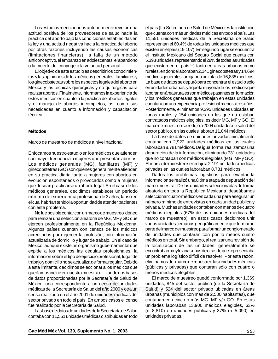Los estudios mencionados anteriormente revelan una actitud positiva de los proveedores de salud hacia la práctica del aborto bajo las condiciones establecidas en la ley y una actitud negativa hacia la práctica del aborto por otras razones incluyendo las causas económicas (limitaciones financieras), la falla de un método o la muerte del cónyuge o la voluntad personal. anticonceptivo, el embarazo en adolescentes, el abandono

El objetivo de este estudio es describir los conocimientos y las opiniones de los médicos generales, familiares y los ginecobstetras sobre los aspectos legales del aborto en México y las técnicas quirúrgicas y no quirúrgicas para realizar abortos. Finalmente, informamos la experiencia de y el manejo de abortos incompletos, así como sus necesidades en cuanto a información y capacitación estos médicos en cuanto a la práctica de abortos legales técnica.

## medigraphic medigraphic medigraphic medigraphic **Métodos**

## Marco de muestreo de médicos a nivel nacional

con mayor frecuencia a mujeres que presentan abortos. Los médicos generales (MG), familiares (MF) y ginecobstetras (GO) son quienes generalmente atienden en su práctica diaria tanto a mujeres con abortos en evolución espontáneos o provocados como a mujeres que desean practicarse un aborto legal. En el caso de los mínimo de experiencia profesional de 3 años, lapso en Enfocamos nuestro estudio en los médicos que atienden médicos generales, decidimos establecer un período el cual habrían tenido la oportunidad de atender pacientes con este problema.

No fue posible contar con un marco de muestreo idóneo para realizar una selección aleatoria de MG, MF y GO que ejercen profesionalmente en la República Mexicana. acreditados para ejercer la profesión, con información actualizada de domicilio y lugar de trabajo. En el caso de expide a los médicos las cédulas profesionales, la información sobre el tipo de ejercicio profesional, lugar de trabajo y domicilio no se actualiza de forma regular. Debido a esta limitante, decidimos seleccionar a los médicos que queríamos incluir en nuestra muestra utilizando dos bases México, una correspondiente a un censo de unidades médicas de la Secretaría de Salud del año 2000 y otra un censo realizado en el año 2001 de unidades médicas del sector privado en todo el país. En ambos casos el censo fue realizado por la Secretaría de Salud. Algunos países cuentan con censos de los médicos México, aunque existe un organismo gubernamental que de datos proporcionadas por la Secretaría de Salud de

Las base de datos de unidades de la Secretaría de Salud contaba con 11,551 unidades médicas distribuidas en todo

el Instituto Mexicano del Seguro Social que cuenta con el país (La Secretaría de Salud de México es la institución que cuenta con más unidades médicas en todo el país. Las 11,551 unidades médicas de la Secretaría de Salud representan el 60.4% de todas las unidades médicas que existen en el país (19,107). En segundo lugar se encuentra que existen en el país.<sup>19</sup>) tanto en áreas urbanas como rurales, en donde laboraban 2,141 ginecobstetras y 14,694 médicos generales, arrojando un total de 16,835 médicos. La base de datos se depuró para concentrar el estudio sólo en unidades urbanas, ya que la mayoría de los médicos que laboran en áreas rurales son médicos pasantes en formación cuentan con una experiencia profesional menor a tres años. Posteriormente, eliminamos 9,395 unidades ubicadas en contratados médicos elegibles, es decir MG, MF y GO. El marco de muestreo se redujo a 2004 unidades de salud del sector público, en las cuales laboran 11,044 médicos. 5,393 unidades, representando el 28% de todas las unidades y los médicos generales que trabajan en estas unidades zonas rurales y 154 unidades en las que no estaban

La base de datos de unidades privadas inicialmente contaba con 2,922 unidades médicas en las cuales laboraban 8,781 médicos. De igual forma, realizamos una que no contaban con médicos elegibles (MG, MF y GO). El marco de muestreo se redujo a 2,191 unidades médicas privadas en las cuales laboraban 8,781 médicos. depuración de la información, eliminando 731 unidades

Dados los problemas logísticos para levantar la información se realizó una última etapa de depuración del marco muestral. De las unidades seleccionadas de forma seleccionar cuatro médicos en cada una para asegurar un aleatoria en toda la República Mexicana, deseábamos número mínimo de entrevistas en cada unidad pública y privada. Muchas unidades contaban con menos de cuatro médicos elegibles (67% de las unidades médicas del marco de muestreo), en estos casos decidimos unir varias unidades cercanas geográficamente que formaran de unidades que contaran con por lo menos cuatro médicos en total. Sin embargo, al realizar una revisión de encontraban muy lejanas unas de otras, lo que representaba un problema logístico difícil de resolver. Por esta razón, eliminamos del marco de muestreo las unidades médicas (públicas y privadas) que contaran sólo con cuatro o menos médicos elegibles. parte del marco de muestreo para formar un conglomerado la localización de las unidades, generalmente se

unidades, 845 del sector público (de la Secretaría de y otra un Calud) y 524 del sector privado ubicadas en áreas<br>Hispa del curbapao (municipias can más de 3.500 bebitantes), que urbanas (municipios con más de 2,500 habitantes), que contaban con cinco o más MG, MF y/o GO. En estas unidades laboraban 13,900 médicos elegibles, 63% (n=8,810) en unidades públicas y 37% (n=5,090) en medigraphic medigraphic medigraphic medigraphic unidades privadas.El marco de muestreo quedó conformado por 1,369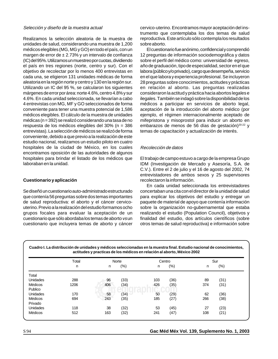## Selección y diseño de la muestra actual

Realizamos la selección aleatoria de la muestra de unidades de salud, considerando una muestra de 1,200 médicos elegibles (MG, MG y GO) en todo el país, con un margen de error de  $\pm$  2.73% y un intervalo de confianza el país en tres regiones (norte, centro y sur). Con el objetivo de recolectar por lo menos 400 entrevistas en cada una, se eligieron 131 unidades médicas de forma aleatoria en la región norte y centro y 130 en la región sur. Utilizando un IC del 95 %, se calcularon los siguientes márgenes de error por área: norte 4.6%, centro 4.8% y sur 4 entrevistas con MG, MF y GO seleccionados de forma conveniente para tener una muestra potencial de 1,586 médicas (n = 392) se realizó considerando una tasa de no respuesta de los médicos elegibles del 30% (n = 386 entrevistas). La selección de médicos se realizó de forma conveniente, debido a que previo a la realización de este estudio nacional, realizamos un estudio piloto en cuatro hospitales de la ciudad de México, en los cuales hospitales para brindar el listado de los médicos que laboraban en la unidad. encontramos oposición de las autoridades de algunos (IC) del 95%. Utilizamos un muestreo por cuotas, dividiendo 4.6%. En cada unidad seleccionada, se llevarían a cabo médicos elegibles. El cálculo de la muestra de unidades

## medigraphic medigraphic medigraphic medigraphic medigraphic medigraphic medigraphic medigraphic **Cuestionario y aplicación**

que contenía 56 preguntas sobre dos temas importantes Se diseñó un cuestionario auto-administrado estructurado de salud reproductiva: el aborto y el cáncer cervicouterino. Previo a la realización del estudio formamos ocho grupos focales para evaluar la aceptación de un cuestionario que sólo abordaba los temas de aborto vs un cuestionario que incluyera temas de aborto y cáncer

 $\mathcal{C}$  medigraphic medigraphic medigraphic medigraphic medigraphic medigraphic medigraphic medigraphic medigraphic medigraphic medigraphic medigraphic medigraphic medigraphic medigraphic medigraphic medigraphic medigrap

cervico-uterino. Encontramos mayor aceptación del instrumento que contemplaba los dos temas de salud reproductiva. Este artículo sólo contempla los resultados medigraphic medigraphic medigraphic medigraphic sobre aborto.

12 preguntas de información sociodemográfica y datos El cuestionario fue anónimo, confidencial y comprendió año de graduación, tipo de especialidad, sector en el que labora (público y/o privado), cargo que desempeña, servicio en el que labora y experiencia profesional. Se incluyeron 28 preguntas sobre conocimientos, actitudes y prácticas en relación al aborto. Las preguntas realizadas consideraron la actitud y práctica hacia abortos legales e médicos a participar en servicios de aborto legal, aceptación de la introducción del aborto médico (por mifepristona y misoprostol para inducir un aborto en embarazos de menos de 56 días de gestación)<sup>20-22</sup> y temas de capacitación y actualización de interés. sobre el perfil del médico como: universidad de egreso, ilegales. También se indagó sobre la disponibilidad de los ejemplo, el régimen internacionalmente aceptado de

### Recolección de datos medigraphic medigraphic medigraphic medigraphic medigraphic medigraphic medigraphic medig medigraphic medigraphic medigraphic medigraphic

El trabajo de campo estuvo a cargo de la empresa Grupo IDM (Investigación de Mercado y Asesoría, S.A. de C.V.). Entre el 2 de julio y el 16 de agosto del 2002, 74 entrevistadores de ambos sexos y 25 supervisores recolectaron la información.

En cada unidad seleccionada los entrevistadores para explicar los objetivos del estudio y entregar un concertaban una cita con el director de la unidad de salud paquete de material de apoyo que contenía información sobre la organización no-gubernamental que estaba realizando el estudio (Population Council), objetivos y finalidad del estudio, dos artículos científicos (sobre otros temas de salud reproductiva) e información sobre

|          | Total | Norte |         | Centro |         | Sur |         |
|----------|-------|-------|---------|--------|---------|-----|---------|
|          | n     | n     | $(\% )$ | n.     | $(\% )$ | n   | $(\% )$ |
| Total    |       |       |         |        |         |     |         |
| Unidades | 288   | 96    | (33)    | 103    | (36)    | 89  | (31)    |
| Médicos  | 1206  | 406   | (34)    | 426    | (35)    | 374 | (31)    |
| Publico  |       |       |         |        |         |     |         |
| Unidades | 170   | 58    | (34)    | 50     | (29)    | 62  | (36)    |
| Médicos  | 694   | 243   | (35)    | 185    | (27)    | 266 | (38)    |
| Privado  |       |       |         |        |         |     |         |
| Unidades | 118   | 38    | (32)    | 53     | (45)    | 27  | (23)    |
| Médicos  | 512   | 163   | (32)    | 241    | (47)    | 108 | (21)    |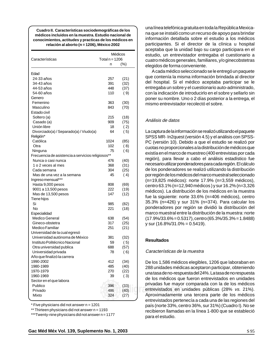$\sqrt{m}$ medigraphic medigraphic medigraphic medigraphic medigraphic medigraphic medigraphic medigraphic medigraphic medigraphic medigraphic medigraphic medigraphic medigraphic medigraphic medigraphic medigraphic medigraphi medigraphic medigraphic medigraphic medigraphic  **Cuadro II. Características sociodemográficas de los conocimientos, actitudes y practicas de los médicos en** medigraphic medigraphic medigraphic medigraphic **relación al aborto (n = 1206), México 2002 médicos incluidos en la muestra. Estudio nacional de**

| Características                                   | Médicos<br>Total $n = 1206$ |              |  |  |
|---------------------------------------------------|-----------------------------|--------------|--|--|
|                                                   | n                           | $(\% )$      |  |  |
|                                                   |                             |              |  |  |
| Edad                                              |                             |              |  |  |
| 24-33 años                                        | 257                         | (21)         |  |  |
| 34-43 años                                        | 391                         | (32)         |  |  |
| 44-53 años                                        | 448                         | (37)         |  |  |
| 54-60 años                                        | 110                         | (9)          |  |  |
| Genero                                            |                             |              |  |  |
| Femenino                                          | 363                         | (30)         |  |  |
| Masculino                                         | 843                         | (70)         |  |  |
| Estado civil                                      |                             |              |  |  |
| Soltero (a)                                       | 215                         | (18)         |  |  |
| Casado (a)                                        | 909                         | (75)         |  |  |
| Unión libre                                       | 18                          | (2)          |  |  |
| Divorciado(a) / Separado(a) / Viudo(a)            | 64                          | (5)          |  |  |
| Religión*                                         |                             |              |  |  |
| Católica                                          | 1024                        | (85)         |  |  |
| Otra                                              | 102                         | (8)          |  |  |
| Ninguna                                           | 75                          | (6)          |  |  |
| Frecuencia de asistencia a servicios religiosos** |                             |              |  |  |
| Nunca o casi nunca                                | 476                         | (40)         |  |  |
| 1 o 2 veces al mes                                | 368                         | (31)         |  |  |
| Cada semana                                       | 304                         | (25)         |  |  |
| Mas de una vez a la semana                        | 45                          | (4)          |  |  |
| Ingreso mensual***                                |                             |              |  |  |
| Hasta 9,000 pesos                                 | 808                         | (69)         |  |  |
| 9001 a 13,500 pesos                               | 222<br>147                  | (19)         |  |  |
| Mas de 13,500 pesos<br>Tiene hijos                |                             | (12)         |  |  |
| Si                                                | 985                         |              |  |  |
| No                                                | 221                         | (82)<br>(18) |  |  |
| Especialidad                                      |                             |              |  |  |
| Medico General                                    | 638                         | (54)         |  |  |
| Gineco-obstetra                                   | 317                         | (25)         |  |  |
| Medico Familiar                                   | 251                         | (21)         |  |  |
| Universidad de la cual egresó                     |                             |              |  |  |
| Universidad autónoma de México                    | 381                         | (32)         |  |  |
| Instituto Politécnico Nacional                    | 59                          | (5)          |  |  |
| Otra universidad publica                          | 688                         | (57)         |  |  |
| Universidad privada                               | 78                          | ( 6)         |  |  |
| Año que finalizó la carrera                       |                             |              |  |  |
| 1990-2002                                         | 412                         | (34)         |  |  |
| 1980-1989                                         | 485                         | (40)         |  |  |
| 1970-1979                                         | 270                         | (22)         |  |  |
| 1960-1969                                         | 39                          | (3)          |  |  |
| Sector en el que labora                           |                             |              |  |  |
| Publico                                           | 396                         | (33)         |  |  |
| Privado                                           | 486                         | (40)         |  |  |
| Mixto                                             | 324                         | (27)         |  |  |
|                                                   |                             |              |  |  |

\* Five physicians did not answer n = 1201

\*\* Thirteen physicians did not answer n = 1193

\*\*\*Twenty-nine physicians did not answer n = 1177

estudio, un entrevistador entregaba el cuestionario a una línea telefónica gratuita en toda la República Mexicana que se instaló como un recurso de apoyo para brindar información detallada sobre el estudio a los médicos participantes. Si el director de la clínica u hospital aceptaba que la unidad bajo su cargo participara en el elegidos de forma conveniente. cuatro médicos generales, familiares, y/o ginecobstetras

A cada médico seleccionado se le entregó un paquete que contenía la misma información brindada al director del hospital. Si el médico aceptaba participar se le entregaba un sobre y el cuestionario auto-administrado, con la indicación de introducirlo en el sobre y sellarlo sin mismo entrevistador recolectó el sobre. poner su nombre. Uno o 2 días posterior a la entrega, el

# medigraphic medigraphic medigraphic medigraphic Análisis de datos

La captura de la información se realizó utilizando el paquete SPSS MR- In2quest (versión 4.5) y el análisis con SPSS-PC (versión 10). Debido a que el estudio se realizó por cuotas no proporcionales a la distribución de médicos que región), para llevar a cabo el análisis estadístico fue necesario utilizar ponderadores para cada región. El cálculo de los ponderadores se realizó utilizando la distribución por región de los médicos del marco muestral seleccionado medigraphic medigraphic medigraphic medigraphic medigraphic medigraphic medigraphic medigraphic (n=19,825 médicos): norte 17.9% (n=3,559 médicos), centro 63.1% (n=12,940 médicos) y sur 16.2% (n=3,326 fue la siguiente: norte 33.6% (n=406 médicos), centro medigraphic medigraphic medigraphic medigraphic existía en el marco de muestreo (400 entrevistas por cada médicos). La distribución de los médicos en la muestra 35.3% (n=426) y sur 31% (n=374). Para calcular los ponderadores por región se dividió la distribución del marco muestral entre la distribución de la muestra: norte  $(17.9\%/33.6\% = 0.5317)$ , centro (65.3%/35.3% = 1.8488) y sur (16.8%/31.0% = 0.5419).

#### medigraphic medigraphic medigraphic medigraphic medigraphic medigraphic medigraphic medigraphic medigraphic medigraphic medigraphic medigraphic medigraphic medigraphic medigraphic medigraphic medigraphic medigraphic medigr **Resultados**

# Características de la muestra

De los 1,586 médicos elegibles, 1206 que laboraban en 288 unidades médicas aceptaron participar, obteniendo una tasa de no-respuesta del 24%. La tasa de no respuesta privadas fue mayor comparada con la de los médicos (35)<br> **entrevistados en unidades públicas (28% vs. 21%).**<br> **entrevistados en unidades públicas (28% vs. 21%).** Aproximadamente una tercera parte de los médicos entrevistados pertenecía a cada una de las regiones del país (norte 33%, centro 36%, sur 31%) (Cuadro I). No se recibieron llamadas en la línea 1-800 que se estableció medigraphic medigraphic medigraphic medigraphic para el estudio. de los médicos que fueron entrevistados en unidades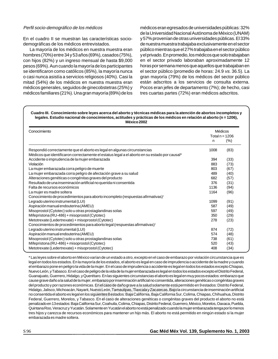## Perfil socio-demográfico de los médicos

En el cuadro II se muestran las características sociodemográficas de los médicos entrevistados.

La mayoría de los médicos en nuestra muestra eran hombres (70%) entre 34 y 53 años (69%), casados (75%), pesos (69%). Aun cuando la mayoría de los participantes se identificaron como católicos (85%), la mayoría nunca o casi nunca asistía a servicios religiosos (40%). Casi la mitad (54%) de los médicos en nuestra muestra eran médicos generales, seguidos de ginecobstetras (25%) y médicos familiares (21%). Una gran mayoría (89%) de los con hijos (82%) y un ingreso mensual de hasta \$9,000

y el privado. En promedio, los médicos que solo trabajaban médicos eran egresados de universidades públicas: 32% de la Universidad Nacional Autónoma de México (UNAM) y 57% provenían de otras universidades públicas. El 33% de nuestra muestra trabajaba exclusivamente en el sector público mientras que el 27% trabajaba en el sector público horas por semana menos que aquellos que trabajaban en el sector público (promedio de horas: 24.9 vs. 36.5). La gran mayoría (79%) de los médicos del sector público están adscritos a los servicios de consulta externa. Pocos eran jefes de departamento (7%); de hecho, casi tres cuartas partes (72%) eran médicos adscritos. en el sector privado laboraban aproximadamente 12

### **Cuadro III. Conocimiento sobre leyes acerca del aborto y técnicas médicas para la atención de abortos incompletos y** medigraphic medigraphic medigraphic medigraphic medigraphic medigraphic medigraphic medigraphic **legales. Estudio nacional de conocimientos, actitudes y prácticas de los médicos en relación al aborto (n = 1206),** medigraphic medigraphic medigraphic medigraphic **México 2002**

| Conocimiento                                                                                  |      | Médicos<br>Total $n = 1206$ |
|-----------------------------------------------------------------------------------------------|------|-----------------------------|
|                                                                                               | n.   | (% )                        |
| Respondió correctamente que el aborto es legal en algunas circunstancias                      | 1008 | (83)                        |
| Médicos que identificaron correctamente el estatus legal a el aborto en su estado por causal* |      |                             |
| Accidente o imprudencia de la mujer embarazada                                                | 394  | (33)                        |
| Violación                                                                                     | 883  | (73)                        |
| La mujer embarazada corra peligro de muerte                                                   | 803  | (67)                        |
| La mujer embarazada corra peligro de afectación grave a su salud                              | 489  | (40)                        |
| Alteraciones genéticas o congénitas graves del producto                                       | 682  | (57)                        |
| Resultado de una inseminación artificial no querida ni consentida                             | 376  | (31)                        |
| Falta de recursos económicos                                                                  | 1136 | (94)                        |
| La mujer es madre soltera                                                                     | 1164 | (96)                        |
| Conocimiento de procedimientos para aborto incompleto (respuestas afirmativas) <sup>+</sup>   |      |                             |
| Legrado uterino instrumental (LUI)                                                            | 1099 | (91)                        |
| Aspiración manual endouterina (AMEU)                                                          | 587  | (49)                        |
| Misoprostol (Cytotec) solo u otras prostaglandinas solas                                      | 597  | (49)                        |
| Mifepristona (RU-486) + misoprostol (Cytotec)                                                 | 350  | (29)                        |
| Metotrexate (Ledertrexate) + misoprostol (Cytotec)                                            | 278  | (23)                        |
| Conocimientos de procedimientos para aborto legal (respuestas afirmativas) <sup>+</sup>       |      |                             |
| Legrado uterino instrumental (LUI)                                                            | 874  | (72)                        |
| Aspiración manual endouterina (AMEU)                                                          | 574  | (48)                        |
| Misoprostol (Cytotec) solo u otras prostaglandinas solas                                      | 738  | (61)                        |
| Mifepristona (RU-486) + misoprostol (Cytotec)                                                 | 520  | (43)                        |
| Metotrexate (Ledertrexate) + misoprostol (Cytotec)                                            | 408  | (34)                        |

legal en todos los estados. En la mayoría de los estados, el aborto es legal en caso de imprudencia o accidente de la madre y cuando el embarazo pone en peligro la vida de la mujer. En el caso de imprudencia o accidente es legal en todos los estados excepto Chiapas, Nuevo León, y Tabasco. En el caso de peligro de la vida de la mujer embarazada es legal en todos los estados excepto el Distrito Federal, cause grave daño a la salud de la mujer, embarazo por inseminación artificial no consentida, alteraciones genéticas o congénitas graves Hidalgo, Jalisco, Michoacán, Nayarit, Nuevo León, Tamaulipas, Tlaxcala y Zacafecas. Bajola circunstancia de insensito a tribuile esta<br>Hidalgo, Jalisco, Michoacán, Nayarit, Nuevo León, Tamaulipas, Tlaxcala y Zacafecas. Bajo no consentida el aborto es legal en los siguientes 8 estados: Baja California, Baja California Sur, Colima, Chiapas, Chihuahua, Distrito Federal, Guerrero, Morelos, y Tabasco. En el caso de alteraciones genéticas o congénitas graves del producto el aborto no está penamerale en 19 certaise. Esja camerna can coamana, certais, cinapas, cientre resolan, caerter, mense, mense,<br>Quintana Roo, Veracruz y Yucatán. Solamente en Yucatán el aborto no está penalizado cuando la mujer embarazada tres hijos y carezca de recursos económicos para mantener un hijo más. El aborto no está permitido en ningún estado si la mujer embarazada es madre soltera. \* Las leyes sobre el aborto en México varían de un estado a otro, excepto en el caso de embarazo por violación circunstancia que es Guanajuato, Guerrero, Hidalgo, y Querétaro. En las siguientes circunstancias el aborto es legal en muy pocos estados: embarazo que del producto y por razones económicas. En el caso de daño grave a la salud solamente está permitido en 9 estados: Distrito Federal, penalizado en 13 estados: Baja California Sur, Coahuila, Colima, Chiapas, Distrito Federal, Guerrero, México, Morelos, Oaxaca, Puebla,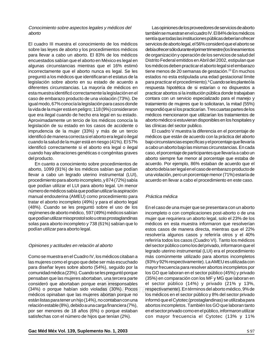## Conocimiento sobre aspectos legales y médicos del medigraphic medigraphic medigraphic medigraphic aborto

El cuadro III muestra el conocimiento de los médicos sobre las leyes de aborto y los procedimientos médicos para llevar a cabo un aborto. El 83% de los médicos algunas circunstancias mientras que el 16% estimó incorrectamente que el aborto nunca es legal. Se les preguntó a los médicos que identificaran el estatus de la legislación sobre aborto en su estado de acuerdo a diferentes circunstancias. La mayoría de médicos en esta muestra identificó correctamente la legislación en el igual modo, 67% conocía la legislación para casos donde la vida de la mujer está en peligro; 118 (9%) consideraron Aproximadamente un tercio de los médicos conocía la legislación de su estado en los casos de accidente o imprudencia de la mujer (33%) y más de un tercio identificó de manera correcta si el aborto era legal o ilegal cuando la salud de la mujer está en riesgo (41%). El 57% identificó correctamente si el aborto era legal o ilegal del producto. cuando hay alteraciones genéticas o congénitas graves encuestados sabían que el aborto en México es legal en caso de embarazo producto de una violación (73%). De que era ilegal cuando de hecho era legal en su estado.

En cuanto a conocimiento sobre procedimientos de aborto, 1099 (91%) de los médicos sabían que podían llevar a cabo un legrado uterino instrumental (LUI), procedimiento para aborto incompleto, y 874 (72%) sabía que podían utilizar el LUI para aborto legal. Un menor manual endouterina (AMEU) como procedimiento para número de médicos sabía que podían utilizar la aspiración tratar el aborto incompleto (49%) y para el aborto legal (48%). Cuando se les preguntó sobre el uso de los regímenes de aborto médico, 597 (49%) médicos sabían que podían utilizar misoprostol solo u otras prostaglandinas solas para aborto incompleto y 738 (61%) sabían que lo podían utilizar para aborto legal.

### medigraphic medigraphic medigraphic medigraphic Opiniones y actitudes en relación al aborto

Como se muestra en el Cuadro IV, los médicos citaban a las mujeres como el grupo que debe ser más escuchado para diseñar leyes sobre aborto (54%), seguido por la comunidad médica (23%). Cuando se les preguntó porque .<br>consideró que abortaban porque eran irresponsables (34%) o porque habían sido violadas (30%). Pocos médicos opinaban que las mujeres abortan porque no están listas para tener un hijo (14%), no contaban con una relación estable (8%), debido a una carga financiera (7%), por ser menores de 18 años (6%) o porque estaban satisfechas con el número de hijos que tenían (2%). pensaban que las mujeres abortaban, una tercera parte

de organización y operación de los servicios de salud del Las opiniones de los proveedores de servicios de aborto también se muestran en el cuadro IV. El 84% de los médicos sentía que todas las instituciones públicas deberían ofrecer servicios de aborto legal, el 56% consideró que el aborto se debía ofrecer sólo durante el primer trimestre (los lineamientos los médicos deben practicar el aborto legal si el embarazo tiene menos de 20 semanas de gestación.<sup>23</sup> En muchos estados no esta estipulada una edad gestacional límite para practicar el procedimiento).ºCuando se les planteó la respuesta hipotética de si estarían o no dispuestos a practicar abortos si la institución pública donde trabajaban tratamiento de mujeres que lo solicitaran, la mitad (55%) respondió que sí los practicarían. Tres cuartas partes de los aborto médico si estuvieran disponibles en los hospitales y las clínicas del sector publico. Distrito Federal emitidos en Abril del 2002, estipulan que contara con un servicio especializado para el manejo y médicos mencionaron que utilizarían los tratamientos de

El cuadro V muestra la diferencia en el porcentaje de médicos que están de acuerdo con la práctica del aborto bajo circunstancias específicas y el porcentaje que llevaría a cabo un aborto bajo las mismas circunstancias. En cada aborto siempre fue menor al porcentaje que estaba de acuerdo. Por ejemplo, 86% estaban de acuerdo que el aborto debía ser legal en el caso de embarazo producto de una violación, pero un porcentaje menor (71%) estaría de acuerdo en llevar a cabo el procedimiento en este caso. caso, el porcentaje de participantes que llevaría a cabo un

# Práctica médica

En el caso de una mujer que se presentara con un aborto incompleto o con complicaciones post-aborto o de una mujer que requiriera un aborto legal, solo el 23% de los médicos en esta muestra informaron que resolverían resolvería algunos casos y referiría otros y el 40% referiría todos los casos (Cuadro VI). Tanto los médicos legrado uterino instrumental (LUI) era el procedimiento más comúnmente utilizado para abortos incompletos (93% y 92% respectivamente). La AMEU es utilizada con mayor frecuencia para resolver abortos incompletos por los GO que laboran en el sector público (45%) y privado el sector público (14%) y privado (21% y 13%, edigraphic medicine medicine medicine medico, 9% de los médicos en el sector público y 8% del sector privado informó que el Cytotec (prostaglandinas) se utilizaba para abortos incompletos. También los GO que laboran tanto en el sector privado como en el público, informaron utilizar con mayor frecuencia el Cytotec (13% y 11% estos casos de manera directa, mientras que el 22% del sector público como los del privado, informaron que el (35%) en comparación con los MF y MG que laboran en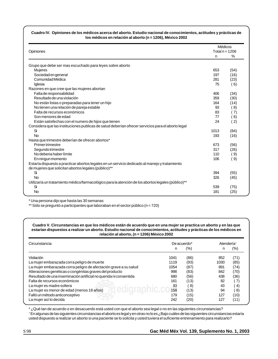## medigraphic medigraphic medigraphic medigraphic medigraphic medigraphic medigraphic medigraphic **Cuadro IV. Opiniones de los médicos acerca del aborto. Estudio nacional de conocimientos, actitudes y prácticas de** medigraphic medigraphic medigraphic medigraphic medigraphic medigraphic medigraphic medigraphic **los médicos en relación al aborto (n = 1206), México 2002**

medigraphic medigraphic medigraphic medigraphic

| Opiniones                                                                                                                                             |      | Médicos<br>Total $n = 1206$ |
|-------------------------------------------------------------------------------------------------------------------------------------------------------|------|-----------------------------|
|                                                                                                                                                       | n    | $\%$                        |
| Grupo que debe ser mas escuchado para leyes sobre aborto                                                                                              |      |                             |
| Mujeres                                                                                                                                               | 653  | (54)                        |
| Sociedad en general                                                                                                                                   | 197  | (16)                        |
| Comunidad Médica                                                                                                                                      | 281  | (23)                        |
| Iglesia                                                                                                                                               | 75   | (6)                         |
| Razones en que cree que las mujeres abortan                                                                                                           |      |                             |
| Falta de responsabilidad                                                                                                                              | 406  | (34)                        |
| Resultado de una violación                                                                                                                            | 359  | (30)                        |
| No están listas o preparadas para tener un hijo                                                                                                       | 164  | (14)                        |
| No tienen una relación de pareja estable                                                                                                              | 93   | ( 8)                        |
| Falta de recursos económicos                                                                                                                          | 83   | (7)                         |
| Son menores de edad                                                                                                                                   | 77   | (6)                         |
| Están satisfechas con el numero de hijos que tienen                                                                                                   | 24   | $\left( 2\right)$           |
| Considera que las instituciones publicas de salud deberían ofrecer servicios para el aborto legal                                                     |      |                             |
| Si                                                                                                                                                    | 1013 | (84)                        |
| <b>No</b>                                                                                                                                             | 193  | (16)                        |
| Hasta que trimestre deberían de ofrecer abortos*                                                                                                      |      |                             |
| <b>Primer trimestre</b>                                                                                                                               | 673  | (56)                        |
| Segundo trimestre                                                                                                                                     | 317  | (26)                        |
| No deberia haber límite                                                                                                                               | 110  | ( 9)                        |
| En ningun momento                                                                                                                                     | 106  | (9)                         |
| Estaría dispuesto a practicar abortos legales en un servicio dedicado al manejo y tratamiento<br>de mujeres que solicitan abortos legales (público)** |      |                             |
| Si                                                                                                                                                    | 394  | (55)                        |
| <b>No</b>                                                                                                                                             | 326  | (45)                        |
| Utilizaría un tratamiento médico/farmacológico para la atención de los abortos legales (público)**                                                    |      |                             |
| Si                                                                                                                                                    | 539  | (75)                        |
| <b>No</b>                                                                                                                                             | 181  | (25)                        |

\* Una persona dijo que hasta las 30 semanas

 $\sqrt{m}$ medigraphic medigraphic medigraphic medigraphic medigraphic medigraphic medigraphic medigraphic medigraphic medigraphic medigraphic medigraphic medigraphic medigraphic medigraphic medigraphic medigraphic medigraphi

 $\sqrt{m}$ medigraphic medigraphic medigraphic medigraphic medigraphic medigraphic medigraphic medigraphic medigraphic medigraphic medigraphic medigraphic medigraphic medigraphic medigraphic medigraphic medigraphic medigraphi

\*\* Sólo se preguntó a participantes que laboraban en el sector público (n = 720)

## medigraphic medigraphic medigraphic medigraphic medigraphic medigraphic medigraphic medigraphic **Cuadro V. Circunstancias en que los médicos están de acuerdo que en una mujer se practica un aborto y en las que** medigraphic medigraphic medigraphic medigraphic medigraphic medigraphic medigraphic medigraphic **relación al aborto, (n = 1206) México 2002 estarían dispuestos a realizar un aborto. Estudio nacional de conocimientos, actitudes y prácticas de los médicos en**

| Circunstancia                                                     | De acuerdo* |      |      | Atendería <sup>+</sup> |  |
|-------------------------------------------------------------------|-------------|------|------|------------------------|--|
|                                                                   | n           | (%)  | n    | (%)                    |  |
| Violación                                                         | 1041        | (86) | 852  | (71)                   |  |
| La mujer embarazada corra peligro de muerte                       | 1119        | (93) | 1030 | (85)                   |  |
| La mujer embarazada corra peligro de afectación grave a su salud  | 1054        | (87) | 891  | (74)                   |  |
| Alteraciones genéticas o congénitas graves del producto           | 998         | (83) | 842  | (70)                   |  |
| Resultado de una inseminación artificial no querida ni consentida | 680         | (56) | 438  | (36)                   |  |
| Falta de recursos económicos                                      | 161         | (13) | 82   |                        |  |
| La mujer es madre soltera                                         | 93          | -8)  | 43   | -4)                    |  |
| La mujer es menor de edad (menos 18 años)                         | 158         | (13) | 94   | $ 8\rangle$            |  |
| Falló un método anticonceptivo                                    | 179         | (15) | 127  | (10)                   |  |
| La mujer así lo decida                                            | 242         | (20) | 127  | (11)                   |  |

medigraphic medigraphic medigraphic medigraphic medigraphic medigraphic medigraphic medigraphic \* ¿Qué tan de acuerdo o en desacuerdo está usted con que el aborto sea legal o no en las siguientes circunstancias?

t En algunas de las siguientes circunstancias el aborto es legal y en otras no lo es ¿Bajo cuáles de las siguientes circunstancias estaría usted dispuesto a realizar un aborto si una paciente se lo solicita y usted tuviera el suficiente entrenamiento para realizarlo?

medigraphic medigraphic medigraphic medigraphic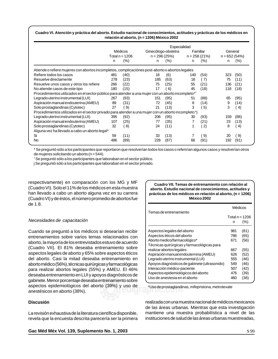## medigraphic medigraphic medigraphic medigraphic medigraphic medigraphic medigraphic medigraphic **Cuadro VI. Atención y práctica del aborto. Estudio nacional de conocimientos, actitudes y prácticas de los médicos en** medigraphic medigraphic medigraphic medigraphic medigraphic medigraphic medigraphic medigraphic **relación al aborto, (n = 1206) México 2002**

|                                                                                                     | Especialidad                |         |                                       |         |                            |              |                           |                  |
|-----------------------------------------------------------------------------------------------------|-----------------------------|---------|---------------------------------------|---------|----------------------------|--------------|---------------------------|------------------|
|                                                                                                     | Médicos<br>Total $n = 1206$ |         | Ginecólogo-obstetra<br>$n = 296(25%)$ |         | Familiar<br>$n = 258(21%)$ |              | General<br>$n = 652(54%)$ |                  |
|                                                                                                     |                             |         |                                       |         |                            |              |                           |                  |
|                                                                                                     | n                           | $(\% )$ | n                                     | $(\% )$ | n                          | (% )         | n.                        | $(\% )$          |
| Atiende o refiere mujeres con abortos incompletos, complicaciónes post-aborto o abortos legales     |                             |         |                                       |         |                            |              |                           |                  |
| Refiere todos los casos                                                                             | 481                         | (40)    | 18                                    | (6)     | 140                        | (54)         | 323                       | (50)             |
| Resuelve directamente                                                                               | 278                         | (23)    | 185                                   | (63)    | 18                         | (7)          | 75                        | (11)             |
| Resuelve unos casos y otros los refiere                                                             | 266                         | (22)    | 75                                    | (25)    | 55                         | (21)         | 136                       | (21)             |
| No atiende casos de este tipo                                                                       | 180                         | (15)    | 17                                    | 6)      | 45                         | (18)         | 118                       | (18)             |
| Procedimientos utilizados en el sector público para atender a una mujer con un aborto incompleto*†  |                             |         |                                       |         |                            |              |                           |                  |
| Legrado uterino instrumental (LUI)                                                                  | 267                         | (93)    | 151                                   | (95)    | 51                         | (88)         | 65                        | (95)             |
| Aspiración manual endouterina (AMEU)                                                                | 89                          | (31)    | 72                                    | (45)    | 8                          | (14)         | 9                         | (14)             |
| Solo prostaglandinas (Cytotec)                                                                      | 27                          | 9)      | 21                                    | (13)    | 3                          | 5)           | 3                         | $\left(4\right)$ |
| Procedimientos utilizados en el sector privado para atender a una mujer con un aborto incompleto *j |                             |         |                                       |         |                            |              |                           |                  |
| Legrado uterino instrumental (LUI)                                                                  | 395                         | (92)    | 206                                   | (95)    | 30                         | (93)         | 159                       | (88)             |
| Aspiración manual endouterina (AMEU)                                                                | 107                         | (25)    | 77                                    | (35)    |                            | (21)         | 23                        | (13)             |
| Solo prostaglandinas (Cytotec)                                                                      | 32                          | (8)     | 24                                    | (11)    |                            | $\mathbf{2}$ | 8                         | 4)               |
| Alguna vez ha llevado a cabo un aborto legal*                                                       |                             |         |                                       |         |                            |              |                           |                  |
| Si                                                                                                  | 59                          | (11)    | 33                                    | (13)    |                            | 9)           | 20                        | -9)              |
| <b>No</b>                                                                                           | 486                         | (89)    | 228                                   | (87)    | 66                         | (91)         | 192                       | (91)             |

\* Se preguntó sólo a los participantes que reportaron que resolverían todos los casos o referirían algunos casos y resolverían otros medigraphic medigraphic medigraphic medigraphic de mujeres solicitando un aborto (n = 544).

medigraphic medigraphic medigraphic medigraphic medigraphic medigraphic medigraphic medigraphic †Se preguntó sólo a los participantes que laboraban en el sector público.

 $m = -\frac{1}{2}$ j Se preguntó sólo a los participantes que laboraban en el sector privado.

respectivamente) en comparación con los MG y MF (Cuadro VI). Solo el 11% de los médicos en esta muestra han llevado a cabo un aborto alguna vez en su carrera (Cuadro VI) y de éstos, el número promedio de abortos fue medigraphic medigraphic medigraphic medigraphic de 1.8.

 $\sqrt{m}$ medigraphic medigraphic medigraphic medigraphic medigraphic medigraphic medigraphic medigraphic medigraphic medigraphic medigraphic medigraphic medigraphic medigraphic medigraphic medigraphic medigraphic medigraphi

## Necesidades de capacitación

entrenamientos sobre varios temas relacionados con aborto, la mayoría de los entrevistados estuvo de acuerdo (Cuadro VII). El 81% deseaba entrenamiento sobre aspectos legales de aborto y 65% sobre aspectos éticos del aborto. Casi la mitad deseaba entrenamiento en aborto médico (56%), técnicas quirúrgicas y farmacológicas .<br>deseaba entrenamiento en LUI y apoyos diagnósticos de gabinete. Menor porcentaje deseaba entrenamiento sobre anestésicos en aborto (38%). Cuando se preguntó a los médicos si desearían recibir para realizar abortos legales (55%) y AMEU. El 46% aspectos epidemiológicos del aborto (39%) y uso de

## medigraphic medigraphic medigraphic medigraphic **Discusión**

La revisión exhaustiva de la literatura científica disponible, revela que la encuesta descrita parecería ser la primera

**Cuadro VII. Temas de entrenamiento con relación al aborto. Estudio nacional de conocimientos, actitudes y** prácticas de los médicos en relación al aborto, (n = 1206) medigraphic medigraphic medigraphic medigraphic **México 2002**

 $\sqrt{m}$  medigraphic medigraphic medigraphic medigraphic medigraphic medigraphic medigraphic medigraphic medigraphic medigraphic medigraphic medigraphic medigraphic medigraphic medigraphic medigraphic medigraphic medigraph

medigraphic medigraphic medigraphic medigraphic

| Temas de entrenamiento                                                                                                                                                                                                                                                                                                                                                    | Médicos                                                     |                                                                      |  |  |
|---------------------------------------------------------------------------------------------------------------------------------------------------------------------------------------------------------------------------------------------------------------------------------------------------------------------------------------------------------------------------|-------------------------------------------------------------|----------------------------------------------------------------------|--|--|
|                                                                                                                                                                                                                                                                                                                                                                           | Total $n = 1206$<br>n                                       | (%)                                                                  |  |  |
| Aspectos legales del aborto<br>Aspectos éticos del aborto<br>Aborto medico/farmacológico*<br>Técnicas quirúrgicas y farmacológicas para<br>realizar abortos legales<br>Aspiración manual endouternina (AMEU)<br>Legrado uterino instrumental (LUI)<br>Apoyos diagnósticos de gabinete (ultrasonido)<br>Interacción médico-paciente<br>Aspectos epidemiológicos del aborto | 981<br>786<br>671<br>667<br>626<br>555<br>549<br>507<br>476 | (81)<br>(65)<br>(56)<br>(55)<br>(52)<br>(46)<br>(46)<br>(42)<br>(39) |  |  |
| Uso de anestesia en el aborto                                                                                                                                                                                                                                                                                                                                             | 460                                                         | (38)                                                                 |  |  |

uso de **tracaphic medical medical medical medical medical medical medical medical medical medical medical medica**<br> **edigraphics** 

realizada con una muestra nacional de médicos mexicanos de las áreas urbanas. Mientras que esta investigación mantiene una muestra probabilística a nivel de las instituciones de salud de las áreas urbanas muestreadas,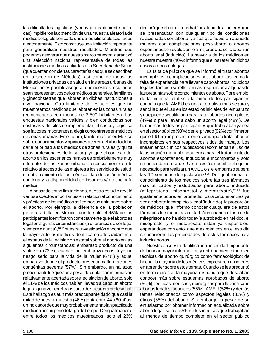las dificultades logísticas (y muy probablemente políticas) impidieron la obtención de una muestra aleatoria de médicos elegibles en cada uno de los sitios seleccionados aleatoriamente. Esto constituye una limitación importante para generalizar nuestros resultados. Mientras que podemos aseverar que nuestro marco muestral garantizó instituciones médicas afiliadas a la Secretaria de Salud (que cuentan con ciertas características que se describen en la sección de Métodos), así como de todas las instituciones privadas de salud en las áreas urbanas de México, no es posible asegurar que nuestros resultados sean representativos de los médicos generales, familiares nivel nacional. Otra limitante del estudio es que no muestreamos médicos que laboran en las zonas rurales encuestas nacionales válidas y bien conducidas son costosas y difíciles de implementar; el costo y logística son factores importantes al elegir concentrarse en médicos de zonas urbanas. En el futuro, la información en México sobre conocimientos y opiniones acerca del aborto debe darle prioridad a los médicos de zonas rurales (y quizá aborto en los escenarios rurales es probablemente muy diferente de las zonas urbanas, especialmente en lo relativo al acceso de las mujeres a los servicios de salud, el entrenamiento de los médicos, la educación médica continua y la disponibilidad de insumos y/o tecnología medica. **Medigaraphic medigraphic medigraphic medigraphic medigraphic medigraphic medigraphic medigraphic medigraphic medigraphic medigraphic medigraphic medigraphic medigraphic medigraphic medigraphic medigraphic medigrap** otros profesionales de la salud), ya que el contexto del **arap** una selección nacional representativa de todas las y ginecobstetras que laboran en dichas instituciones a (comunidades con menos de 2,500 habitantes). Las médica.

varios aspectos importantes en relación al conocimiento A pesar de estas limitaciones, nuestro estudio reveló y prácticas de los médicos así como sus opiniones sobre el aborto. Por ejemplo, a diferencia de la población general adulta en México, donde solo el 45% de los participantes identificaron correctamente que el aborto es siempre o nunca),<sup>10,11</sup> nuestra investigación encontró que la mayoría de los médicos identificaron adecuadamente medigraphic medigraphic medigraphic medigraphic siguientes circunstancias: embarazo producto de una violación (73%), cuando un embarazo constituye un riesgo serio para la vida de la mujer (67%) y aquel embarazo donde el producto presenta malformaciones congénitas severas (57%). Sin embargo, un hallazgo preocupante fue que aun a pesar de contar con información el 11% de los médicos habían llevado a cabo un aborto legal alguna vez en el transcurso de su carrera profesional. Este hallazgo es aun más preocupante dado que casi la mitad de nuestra muestra (46%) tenía entre 44 a 60 años, un indicador de que muy probablemente habían practicado medicina por un periodo largo de tiempo. De igual manera, medigraphic medigraphic medigraphic medigraphic legal en algunas circunstancias (a diferencia de ser legal el estatus de la legislación estatal sobre el aborto en las relativamente acertada sobre legislación de aborto, solo entre todos los médicos muestreados, solo el 23%

aborto legal (inducido). La mayoría de los médicos en declaró que ellos mismos habían atendido a mujeres que se presentaban con cualquier tipo de condiciones relacionadas con aborto, ya sea que hubieran atendido mujeres con complicaciones post-aborto o abortos espontáneos en evolución, o a mujeres que solicitaban un casos a otros colegas. Casos medigraphic medigraphic medigraphic medigraphic medigraphic medigraphic medigraph nuestra muestra (40%) informó que ellos referían dichos

La falta de práctica que se informó al tratar abortos incompletos o complicaciones post-aborto, asi como la falta de experiencia para llevar a cabo abortos inducidos legales, también se reflejó en las respuestas a algunas de las preguntas sobre conocimientos de aborto. Por ejemplo, conocía que la AMEU es una alternativa más segura y sencilla que el LUI en los estadios iniciales del embarazo .<br>(49%) o para llevar a cabo un aborto legal (48%). De hecho, casi todos los participantes que trabajaban ya sea en el sector público (93%) o en el privado (92%) confirmaron que el LIU era un procedimiento común para tratar abortos incompletos en sus respectivos sitios de trabajo. Los lineamientos clínicos publicados recomiendan el uso de abortos espontáneos, inducidos e incompletos y sólo recomiendan el uso de LUI si no está disponible el equipo necesario para realizar un AMEU o si el embarazo supera las 12 semanas de gestación.<sup>24-26</sup> De igual forma, el conocimiento de los médicos sobre las tres fármacos más utilizados y estudiados para aborto inducido igualmente pobre: en promedio, para circunstancias ya la aspiración manual endouterina para el tratamiento de (mifepristona, misoprostol y metotrexate), $20,21$  fue sea de aborto incompleto o legal (inducido), la proporción de médicos que informó conocer cualquiera de estos fármacos fue menor a la mitad. Aun cuando el uso de la mifepristona no ha sido todavía aprobado en México, el esperándose con esto que más médicos en el estudio reconocieran las propiedades de estos fármacos para de la muestra total solo la mitad de los participantes y que puede ser utilizada para tratar abortos incompletos misoprostol y el metotrexate están ya disponibles, inducir abortos.

medigraphic medigraphic medigraphic medigraphic de brindar mayor información y entrenamiento tanto en técnicas de aborto quirúrgico como farmacológico; de hecho, la mayoría de los médicos expresaron un interés en aprender sobre estos temas. Cuando se les preguntó en forma directa, la mayoría respondió que deseaban (56%), técnicas médicas y quirúrgicas para llevar a cabo fesional. abortos legales inducidos (55%), AMEU (52%) y demás<br>a següla tempo relacionados como capactes lagales (84%) y temas relacionados como aspectos legales (81%) y éticos (65%) del aborto. Sin embargo, a pesar de su entusiasmo por obtener información actualizada sobre aborto legal, solo el 55% de los médicos que trabajaban al menos de tiempo completo en el sector público Nuestra encuesta identificó una necesidad importante conocer más sobre esquemas aprobados de aborto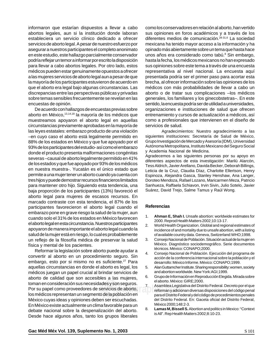informaron que estarían dispuestos a llevar a cabo abortos legales, aun si la institución donde laboran estableciera un servicio clínico dedicado a ofrecer servicios de aborto legal. A pesar de nuestro esfuerzo por asegurar a nuestros participantes el completo anonimato en este estudio, este hallazgo parcialmente conservador para llevar a cabo abortos legales. Por otro lado, estos médicos pueden estar genuinamente opuestos a ofrecer a las mujeres servicios de aborto legal aun a pesar de que la mayoría de los participantes estuvieron de acuerdo en que el aborto era legal bajo algunas circunstancias. Las discrepancias entre las perspectivas públicas y privadas encuestas de opinión. podría reflejar un temor a informar por escrito la disposición sobre temas sensibles frecuentemente se revelan en las

De acuerdo con hallazgos de encuestas previas sobre muestreamos apoyaron el aborto legal en aquellas circunstancias previamente aprobadas en la mayoría de las leyes estatales: embarazo producto de una violación medigraphic medigraphic medigraphic medigraphic –en cuyo caso el aborto está legalmente permitido en 88% de los estados en México y que fue apoyado por el 93% de los participantes del estudio- así como el embarazo severas –causal de aborto legalmente permitido en 41% de los estados y que fue apoyado por 93% de los médicos en nuestra muestra-. Yucatán es el único estado que permite a una mujer tener un aborto cuando ya cuenta con tres hijos y puede demostrar recursos financieros limitados para mantener otro hijo. Siguiendo esta tendencia, una aborto legal para mujeres de escasos recursos. En donde el producto presenta malformaciones congénitas .<br>baja proporción de los participantes (13%) favoreció el marcado contraste con esta tendencia, el 87% de los participantes favorecieron el aborto legal cuando el embarazo pone en grave riesgo la salud de la mujer, aun cuando solo el 31% de los estados en México favorecen apoyaron de manera importante el aborto legal cuando la salud de la mujer está en riesgo, lo cual es probablemente un reflejo de la filosofía médica de preservar la salud aborto en México, 13,14,18 la mayoría de los médicos que el aborto legal en esta circunstancia. Nuestros participantes física y mental de los pacientes.

Reformar la legislación sobre aborto puede ayudar a convertir al aborto en un procedimiento seguro. Sin embargo, esto por si mismo no es suficiente.<sup>27</sup> Para aquellas circunstancias en donde el aborto es legal, los médicos juegan un papel crucial al brindar servicios de toman en consideración sus necesidades y son seguros. Por su papel como proveedores de servicios de aborto, los médicos representan un segmento de la población en México cuyas ideas y opiniones deben ser escuchadas. En México existe actualmente un clima favorable para un debate nacional sobre la despenalización del aborto. Desde hace algunos años, tanto los grupos liberales aborto de calidad que son accesibles a las mujeres,

unos años era considerado como tabú.<sup>8</sup> Sin embargo, como los conservadores en relación al aborto, han vertido sus opiniones en foros académicos y a través de los diferentes medios de comunicación.<sup>28-31,6</sup> La sociedad mexicana ha tenido mayor acceso a la información y ha opinado más abiertamente sobre un tema que hasta hace sus opiniones sobre este tema a través de una encuesta representativa al nivel nacional. La encuesta aquí presentada podría ser el primer paso para acortar esta brecha, al ofrecer información sobre las opiniones de los médicos con más probabilidades de llevar a cabo un aborto o de tratar sus complicaciones –los médicos sentido, la encuesta podría ser de utilidad a universidades, organizaciones e instituciones de salud que ofrecen como a profesionales que intervienen en el diseño de servicios de salud. Composito medigraphic medigraphic medigraphic medigraphic medigraphic medigraphic medigraphic medigraphic medigraphic medigraphic medigraphic medigraphic medigraphic medigraphic medigraphic medigraphic hasta la fecha, los médicos mexicanos no han expresado generales, los familiares y los ginecobstetras–. En este entrenamiento y cursos de actualización a médicos, así

Agradecimientos: Nuestro agradecimiento a las siguientes instituciones: Secretaría de Salud de México, Grupo Investigación de Mercado y Asesoría (IDM), Universidad Autónoma Metropolitana, Instituto Mexicano del Seguro Social y Academia Nacional de Medicina.

Agradecemos a las siguientes personas por su apoyo en Tess Aldrich, Javier Arellano, Davida Becker, Deborah Billings, Leticia de la Cruz, Claudia Díaz, Charlotte Ellertson, Henry Espinoza, Alejandra Gasca, Stanley Henshaw, Ana Langer, Doroteo Mendoza, Rafael Lozano, Maricarmen Meza, Patricio Sanhueza, Raffaela Schiavon, Irvin Sivin, Julio Sotelo, Javier diferentes aspectos de esta investigación: Marilú Alarcón, Suárez, David Trejo, Salme Tamus y Raúl Wong.

## medigraphic medigraphic medigraphic medigraphic **Referencias**

- 1. **Ahman E, Shah I.** Unsafe abortion: worldwide estimates for 2000. Reprod Health Matters 2002;10:13-17.
- 2. World Health Organization. Globlal and regional estimates of of available country data. Geneva, Switzerland:WHO;1998. incidence of and mortality due to unsafe abortion, with a listing
- México. Diagnóstico sociodemográfico. Serie documentos técnicos. México: CONAPO;2000. 3. Consejo Nacional de Población. Situación actual de la mujer en
- 4. Consejo Nacional de Población. Ejecución del programa de acción de la conferencia internacional sobre la población y el desarrollo: México Informe. México: CONAPO;1999.
- 5. Alan Guttamcher Institute. Sharing responsibility: women, society and abortion worldwide. New York:AGI;1999.
- el aborto. México: GIRE;2000. 6. Grupo de Información en Reproducción Elegida. Mirada sobre
- edián en al disposicional medicional diversas disposiciones del código penal<br>reforman y adicionan diversas disposiciones del código penal **El para el Distrito Federal y del código de procedimientos penales** del Distrito Federal. En: Gaceta oficial del Distrito Federal, medigraphic medigraphic medigraphic medigraphic México 2000;148:2-3. 7. Asamblea Legislativa del Distrito Federal. Decreto por el que
	- medigraphic medigraphic medigraphic medigraphic is All". Rep Health Matters 2002;8:10-23.8. **Lamas M, Bissell S.** Abortion and politics in Mexico: "Context